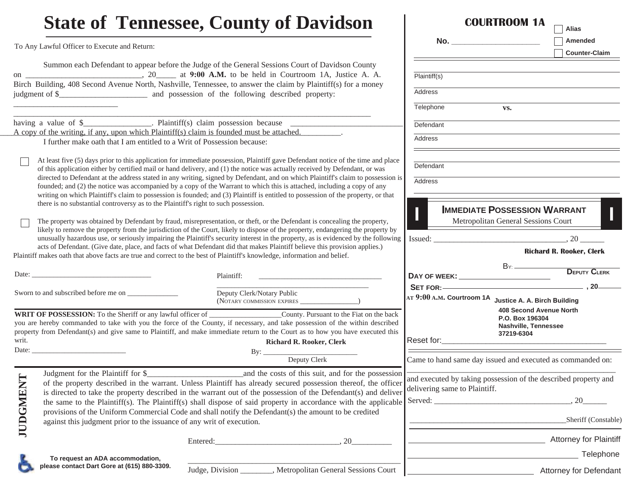## **State of Tennessee, County of Davidson**To Any Lawful Officer to Execute and Return: Summon each Defendant to appear before the Judge of the General Sessions Court of Davidson County on \_\_\_\_\_\_\_\_\_\_\_\_\_\_\_\_\_\_\_\_\_\_\_\_\_\_\_\_\_, 20\_\_\_\_\_ at **9:00 A.M.** to be held in Courtroom 1A, Justice A. A. Birch Building, 408 Second Avenue North, Nashville, Tennessee, to answer the claim by Plaintiff(s) for a money judgment of \$\_\_\_\_\_\_\_\_\_\_\_\_\_\_\_\_\_\_\_\_\_\_ and possession of the following described property: having a value of  $\frac{1}{2}$   $\frac{1}{2}$   $\frac{1}{2}$   $\frac{1}{2}$   $\frac{1}{2}$   $\frac{1}{2}$   $\frac{1}{2}$   $\frac{1}{2}$   $\frac{1}{2}$   $\frac{1}{2}$   $\frac{1}{2}$   $\frac{1}{2}$   $\frac{1}{2}$   $\frac{1}{2}$   $\frac{1}{2}$   $\frac{1}{2}$   $\frac{1}{2}$   $\frac{1}{2}$   $\frac{1}{2}$   $\frac{1}{2}$   $\frac$  $\Delta$  copy of the writing, if any, upon which Plaintiff(s) claim is founded must be attached. I further make oath that I am entitled to a Writ of Possession because:At least five (5) days prior to this application for immediate possession, Plaintiff gave Defendant notice of the time and place of this application either by certified mail or hand delivery, and (1) the notice was actually received by Defendant, or was directed to Defendant at the address stated in any writing, signed by Defendant, and on which Plaintiff's claim to possession is founded; and (2) the notice was accompanied by a copy of the Warrant to which this is attached, including a copy of any writing on which Plaintiff's claim to possession is founded; and (3) Plaintiff is entitled to possession of the property, or that there is no substantial controversy as to the Plaintiff's right to such possession. The property was obtained by Defendant by fraud, misrepresentation, or theft, or the Defendant is concealing the property, likely to remove the property from the jurisdiction of the Court, likely to dispose of the property, endangering the property by unusually hazardous use, or seriously impairing the Plaintiff's security interest in the property, as is evidenced by the following acts of Defendant. (Give date, place, and facts of what Defendant did that makes Plaintiff believe this provision applies.) Plaintiff makes oath that above facts are true and correct to the best of Plaintiff's knowledge, information and belief. Date: \_\_\_\_\_\_\_\_\_\_\_\_\_\_\_\_\_\_\_\_\_\_\_\_\_\_\_\_\_\_\_\_\_ Plaintiff: \_\_\_\_\_\_\_\_\_\_\_\_\_\_\_\_\_\_\_\_\_\_\_\_\_\_\_\_\_\_\_\_\_\_  $\mathcal{L}_\mathcal{L} = \mathcal{L}_\mathcal{L} + \mathcal{L}_\mathcal{L} + \mathcal{L}_\mathcal{L} + \mathcal{L}_\mathcal{L} + \mathcal{L}_\mathcal{L} + \mathcal{L}_\mathcal{L} + \mathcal{L}_\mathcal{L} + \mathcal{L}_\mathcal{L} + \mathcal{L}_\mathcal{L} + \mathcal{L}_\mathcal{L} + \mathcal{L}_\mathcal{L} + \mathcal{L}_\mathcal{L} + \mathcal{L}_\mathcal{L} + \mathcal{L}_\mathcal{L} + \mathcal{L}_\mathcal{L} + \mathcal{L}_\mathcal{L}$ Deputy Clerk/Notary Public (NOTARY COMMISSION EXPIRES \_\_\_\_\_\_\_\_\_\_\_\_\_\_\_\_) **IMMEDIATE POSSESSION WARRANT** Metropolitan General Sessions Court  $Issued:$   $20$  **SET FOR: AT <sup>9</sup>:00 <sup>A</sup>.M. Courtroom 1A Justice A. A. Birch Building**Sworn to and subscribed before me on **DAY OF WEEK:ICOURTROOM 1ANo. \_\_\_\_\_\_\_\_\_\_\_\_\_\_\_\_\_\_\_\_** Plaintiff(s) Address**Telephone** DefendantAddressDefendant**Address**

 $Bv:$ WRIT OF POSSESSION: To the Sheriff or any lawful officer of \_\_\_\_\_\_\_\_\_\_\_\_\_\_\_\_\_\_\_\_\_County. Pursuant to the Fiat on the back you are hereby commanded to take with you the force of the County, if necessary, and take possession of the within described property from Defendant(s) and give same to Plaintiff, and make immediate return to the Court as to how you have executed this writ.Date: **Richard R. Rooker, Clerk**

Deputy Clerk

|        | Judgment for the Plaintiff for \$                                     | and the costs of this suit, and for the possession                                                              |
|--------|-----------------------------------------------------------------------|-----------------------------------------------------------------------------------------------------------------|
| DGMENT |                                                                       | of the property described in the warrant. Unless Plaintiff has already secured possession thereof, the officer  |
|        |                                                                       | is directed to take the property described in the warrant out of the possession of the Defendant(s) and deliver |
|        |                                                                       | the same to the Plaintiff(s). The Plaintiff(s) shall dispose of said property in accordance with the applicable |
|        |                                                                       | provisions of the Uniform Commercial Code and shall notify the Defendant(s) the amount to be credited           |
|        | against this judgment prior to the issuance of any writ of execution. |                                                                                                                 |
|        |                                                                       |                                                                                                                 |

Entered:  $20$ 



**JUDGMENT** 

| please contact Dart Gore at (615) 880-3309. |  |  |
|---------------------------------------------|--|--|

 $\overline{\phantom{a}}$  , and the contribution of the contribution of the contribution of the contribution of the contribution of the contribution of the contribution of the contribution of the contribution of the contribution of the Judge, Division . Metropolitan General Sessions Court

Came to hand same day issued and executed as commanded on: and executed by taking possession of the described property and Served:  $\qquad \qquad \qquad .20$ Sheriff (Constable) **Attorney for Plaintiff** 

**Richard R. Rooker, Clerk**

**AliasAmendedCounter-Claim**

**408 Second Avenue North** 

**P.O. Box 196304 Nashville, Tennessee** 

**37219-6304**

BY:

**vs.**

Reset for:

delivering same to Plaintiff.

**DEPUTY CLERK**

 $\, 20 -$ 

**Telephone** 

Attorney for Defendant